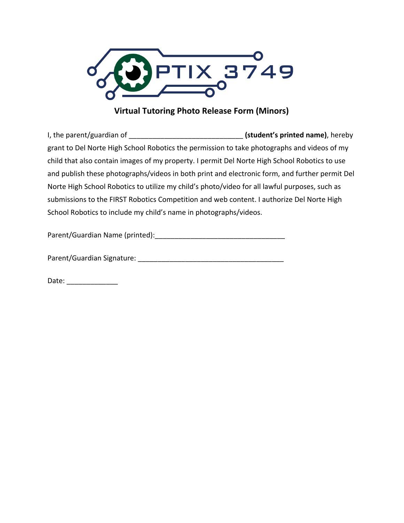

## **Virtual Tutoring Photo Release Form (Minors)**

I, the parent/guardian of \_\_\_\_\_\_\_\_\_\_\_\_\_\_\_\_\_\_\_\_\_\_\_\_\_\_\_\_\_ **(student's printed name)**, hereby grant to Del Norte High School Robotics the permission to take photographs and videos of my child that also contain images of my property. I permit Del Norte High School Robotics to use and publish these photographs/videos in both print and electronic form, and further permit Del Norte High School Robotics to utilize my child's photo/video for all lawful purposes, such as submissions to the FIRST Robotics Competition and web content. I authorize Del Norte High School Robotics to include my child's name in photographs/videos.

Parent/Guardian Name (printed):\_\_\_\_\_\_\_\_\_\_\_\_\_\_\_\_\_\_\_\_\_\_\_\_\_\_\_\_\_\_\_\_\_

Parent/Guardian Signature: **Example 2018** 

Date: \_\_\_\_\_\_\_\_\_\_\_\_\_